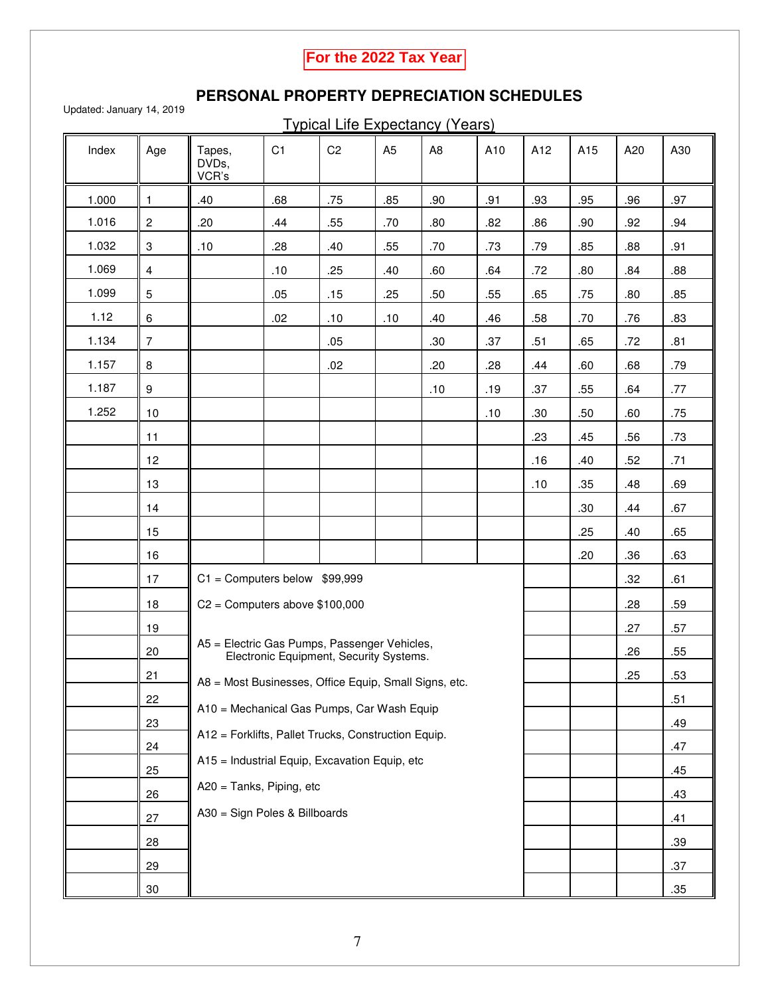## **For the 2022 Tax Year**

## **PERSONAL PROPERTY DEPRECIATION SCHEDULES**

Updated: January 14, 2019

Typical Life Expectancy (Years)

| Index | Age                                   | Tapes,<br>DVDs,<br>VCR's                                                                                                                                                                                                                                                                               | C <sub>1</sub>                | C <sub>2</sub> | A <sub>5</sub> | A <sub>8</sub> | A10 | A12 | A15 | A20 | A30 |
|-------|---------------------------------------|--------------------------------------------------------------------------------------------------------------------------------------------------------------------------------------------------------------------------------------------------------------------------------------------------------|-------------------------------|----------------|----------------|----------------|-----|-----|-----|-----|-----|
| 1.000 | $\mathbf{1}$                          | .40                                                                                                                                                                                                                                                                                                    | .68                           | .75            | .85            | .90            | .91 | .93 | .95 | .96 | .97 |
| 1.016 | $\overline{c}$                        | .20                                                                                                                                                                                                                                                                                                    | .44                           | .55            | .70            | .80            | .82 | .86 | .90 | .92 | .94 |
| 1.032 | 3                                     | .10                                                                                                                                                                                                                                                                                                    | .28                           | .40            | .55            | .70            | .73 | .79 | .85 | .88 | .91 |
| 1.069 | $\overline{4}$                        |                                                                                                                                                                                                                                                                                                        | .10                           | .25            | .40            | .60            | .64 | .72 | .80 | .84 | .88 |
| 1.099 | $\overline{5}$                        |                                                                                                                                                                                                                                                                                                        | .05                           | .15            | .25            | .50            | .55 | .65 | .75 | .80 | .85 |
| 1.12  | 6                                     |                                                                                                                                                                                                                                                                                                        | .02                           | .10            | .10            | .40            | .46 | .58 | .70 | .76 | .83 |
| 1.134 | $\overline{7}$                        |                                                                                                                                                                                                                                                                                                        |                               | .05            |                | .30            | .37 | .51 | .65 | .72 | .81 |
| 1.157 | 8                                     |                                                                                                                                                                                                                                                                                                        |                               | .02            |                | .20            | .28 | .44 | .60 | .68 | .79 |
| 1.187 | $\boldsymbol{9}$                      |                                                                                                                                                                                                                                                                                                        |                               |                |                | .10            | .19 | .37 | .55 | .64 | .77 |
| 1.252 | 10                                    |                                                                                                                                                                                                                                                                                                        |                               |                |                |                | .10 | .30 | .50 | .60 | .75 |
|       | 11                                    |                                                                                                                                                                                                                                                                                                        |                               |                |                |                |     | .23 | .45 | .56 | .73 |
|       | 12                                    |                                                                                                                                                                                                                                                                                                        |                               |                |                |                |     | .16 | .40 | .52 | .71 |
|       | 13                                    |                                                                                                                                                                                                                                                                                                        |                               |                |                |                |     | .10 | .35 | .48 | .69 |
|       | 14                                    |                                                                                                                                                                                                                                                                                                        |                               |                |                |                |     |     | .30 | .44 | .67 |
|       | 15                                    |                                                                                                                                                                                                                                                                                                        |                               |                |                |                |     |     | .25 | .40 | .65 |
|       | 16                                    |                                                                                                                                                                                                                                                                                                        |                               |                |                |                |     |     | .20 | .36 | .63 |
|       | $C1 =$ Computers below \$99,999<br>17 |                                                                                                                                                                                                                                                                                                        |                               |                |                |                |     |     |     | .32 | .61 |
|       | 18                                    | $C2 =$ Computers above \$100,000                                                                                                                                                                                                                                                                       |                               |                |                |                |     |     |     | .28 | .59 |
|       | 19                                    | A5 = Electric Gas Pumps, Passenger Vehicles,<br>Electronic Equipment, Security Systems.<br>A8 = Most Businesses, Office Equip, Small Signs, etc.<br>A10 = Mechanical Gas Pumps, Car Wash Equip<br>A12 = Forklifts, Pallet Trucks, Construction Equip.<br>A15 = Industrial Equip, Excavation Equip, etc |                               |                |                |                |     |     |     | .27 | .57 |
|       | 20                                    |                                                                                                                                                                                                                                                                                                        |                               |                |                |                |     |     |     | .26 | .55 |
|       | 21                                    |                                                                                                                                                                                                                                                                                                        |                               |                |                |                |     |     |     | .25 | .53 |
|       | 22                                    |                                                                                                                                                                                                                                                                                                        |                               |                |                |                |     |     |     |     | .51 |
|       | <u>23</u>                             |                                                                                                                                                                                                                                                                                                        |                               |                |                |                |     |     |     |     | .49 |
|       | 24                                    |                                                                                                                                                                                                                                                                                                        |                               |                |                |                |     |     |     |     | .47 |
|       | 25                                    |                                                                                                                                                                                                                                                                                                        |                               |                |                |                |     |     |     |     | .45 |
|       | 26                                    | A20 = Tanks, Piping, etc                                                                                                                                                                                                                                                                               |                               |                |                |                |     |     |     |     | .43 |
|       | 27                                    |                                                                                                                                                                                                                                                                                                        | A30 = Sign Poles & Billboards |                |                |                |     |     |     |     | .41 |
|       | 28                                    |                                                                                                                                                                                                                                                                                                        |                               |                |                |                |     |     |     |     | .39 |
|       | 29                                    |                                                                                                                                                                                                                                                                                                        |                               |                |                |                |     |     |     |     | .37 |
|       | $30\,$                                |                                                                                                                                                                                                                                                                                                        |                               |                |                |                |     |     |     |     | .35 |